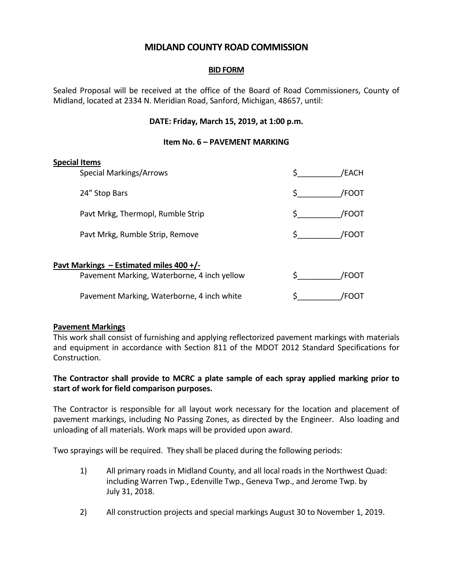# **MIDLAND COUNTY ROAD COMMISSION**

## **BID FORM**

Sealed Proposal will be received at the office of the Board of Road Commissioners, County of Midland, located at 2334 N. Meridian Road, Sanford, Michigan, 48657, until:

## **DATE: Friday, March 15, 2019, at 1:00 p.m.**

#### **Item No. 6 – PAVEMENT MARKING**

#### **Special Items**

| <b>Special Markings/Arrows</b>    | 'EACH       |
|-----------------------------------|-------------|
| 24" Stop Bars                     | <b>FOOT</b> |
| Pavt Mrkg, Thermopl, Rumble Strip | <b>FOOT</b> |
| Pavt Mrkg, Rumble Strip, Remove   | <b>FOOT</b> |
|                                   |             |

## **Pavt Markings – Estimated miles 400 +/-**

| Pavement Marking, Waterborne, 4 inch yellow | /FOOT |
|---------------------------------------------|-------|
| Pavement Marking, Waterborne, 4 inch white  | /FOOT |

## **Pavement Markings**

This work shall consist of furnishing and applying reflectorized pavement markings with materials and equipment in accordance with Section 811 of the MDOT 2012 Standard Specifications for Construction.

## **The Contractor shall provide to MCRC a plate sample of each spray applied marking prior to start of work for field comparison purposes.**

The Contractor is responsible for all layout work necessary for the location and placement of pavement markings, including No Passing Zones, as directed by the Engineer. Also loading and unloading of all materials. Work maps will be provided upon award.

Two sprayings will be required. They shall be placed during the following periods:

- 1) All primary roads in Midland County, and all local roads in the Northwest Quad: including Warren Twp., Edenville Twp., Geneva Twp., and Jerome Twp. by July 31, 2018.
- 2) All construction projects and special markings August 30 to November 1, 2019.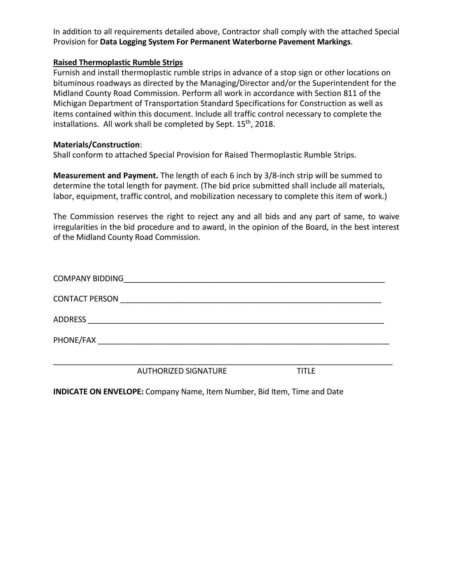In addition to all requirements detailed above, Contractor shall comply with the attached Special Provision for **Data Logging System For Permanent Waterborne Pavement Markings**.

## **Raised Thermoplastic Rumble Strips**

Furnish and install thermoplastic rumble strips in advance of a stop sign or other locations on bituminous roadways as directed by the Managing/Director and/or the Superintendent for the Midland County Road Commission. Perform all work in accordance with Section 811 of the Michigan Department of Transportation Standard Specifications for Construction as well as items contained within this document. Include all traffic control necessary to complete the installations. All work shall be completed by Sept. 15<sup>th</sup>, 2018.

## **Materials/Construction**:

Shall conform to attached Special Provision for Raised Thermoplastic Rumble Strips.

**Measurement and Payment.** The length of each 6 inch by 3/8-inch strip will be summed to determine the total length for payment. (The bid price submitted shall include all materials, labor, equipment, traffic control, and mobilization necessary to complete this item of work.)

The Commission reserves the right to reject any and all bids and any part of same, to waive irregularities in the bid procedure and to award, in the opinion of the Board, in the best interest of the Midland County Road Commission.

|                        | <b>AUTHORIZED SIGNATURE</b>                                | TITI F |  |
|------------------------|------------------------------------------------------------|--------|--|
|                        |                                                            |        |  |
|                        |                                                            |        |  |
| <b>ADDRESS</b>         | <u> 1989 - John Stone, Amerikaansk politiker (</u> † 1920) |        |  |
|                        |                                                            |        |  |
| <b>COMPANY BIDDING</b> |                                                            |        |  |

**INDICATE ON ENVELOPE:** Company Name, Item Number, Bid Item, Time and Date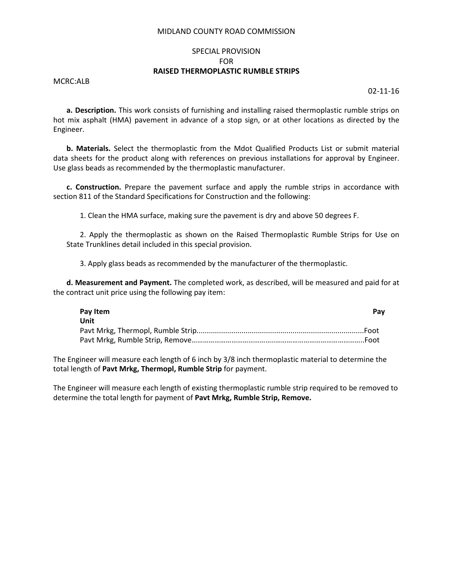#### MIDLAND COUNTY ROAD COMMISSION

## SPECIAL PROVISION FOR **RAISED THERMOPLASTIC RUMBLE STRIPS**

MCRC:ALB

02-11-16

**a. Description.** This work consists of furnishing and installing raised thermoplastic rumble strips on hot mix asphalt (HMA) pavement in advance of a stop sign, or at other locations as directed by the Engineer.

**b. Materials.** Select the thermoplastic from the Mdot Qualified Products List or submit material data sheets for the product along with references on previous installations for approval by Engineer. Use glass beads as recommended by the thermoplastic manufacturer.

**c. Construction.** Prepare the pavement surface and apply the rumble strips in accordance with section 811 of the Standard Specifications for Construction and the following:

1. Clean the HMA surface, making sure the pavement is dry and above 50 degrees F.

2. Apply the thermoplastic as shown on the Raised Thermoplastic Rumble Strips for Use on State Trunklines detail included in this special provision.

3. Apply glass beads as recommended by the manufacturer of the thermoplastic.

**d. Measurement and Payment.** The completed work, as described, will be measured and paid for at the contract unit price using the following pay item:

| Pay Item    | Pav |  |
|-------------|-----|--|
| <b>Unit</b> |     |  |
|             |     |  |
|             |     |  |

The Engineer will measure each length of 6 inch by 3/8 inch thermoplastic material to determine the total length of **Pavt Mrkg, Thermopl, Rumble Strip** for payment.

The Engineer will measure each length of existing thermoplastic rumble strip required to be removed to determine the total length for payment of **Pavt Mrkg, Rumble Strip, Remove.**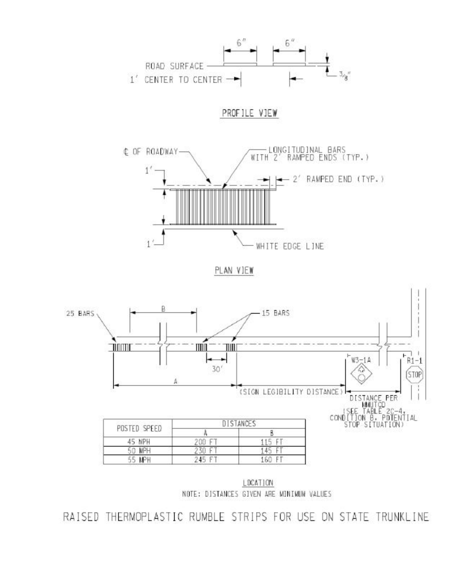

LDCATION NOTE: DISTANCES GIVEN ARE MINIMUM VALUES

RAISED THERMOPLASTIC RUMBLE STRIPS FOR USE ON STATE TRUNKLINE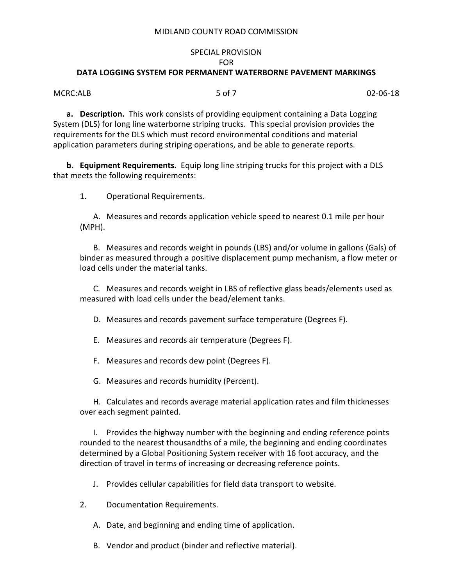#### MIDLAND COUNTY ROAD COMMISSION

## SPECIAL PROVISION FOR **DATA LOGGING SYSTEM FOR PERMANENT WATERBORNE PAVEMENT MARKINGS**

MCRC:ALB 5 of 7 02-06-18

**a. Description.** This work consists of providing equipment containing a Data Logging System (DLS) for long line waterborne striping trucks. This special provision provides the requirements for the DLS which must record environmental conditions and material application parameters during striping operations, and be able to generate reports.

**b. Equipment Requirements.** Equip long line striping trucks for this project with a DLS that meets the following requirements:

1. Operational Requirements.

A. Measures and records application vehicle speed to nearest 0.1 mile per hour (MPH).

B. Measures and records weight in pounds (LBS) and/or volume in gallons (Gals) of binder as measured through a positive displacement pump mechanism, a flow meter or load cells under the material tanks.

C. Measures and records weight in LBS of reflective glass beads/elements used as measured with load cells under the bead/element tanks.

D. Measures and records pavement surface temperature (Degrees F).

E. Measures and records air temperature (Degrees F).

F. Measures and records dew point (Degrees F).

G. Measures and records humidity (Percent).

H. Calculates and records average material application rates and film thicknesses over each segment painted.

I. Provides the highway number with the beginning and ending reference points rounded to the nearest thousandths of a mile, the beginning and ending coordinates determined by a Global Positioning System receiver with 16 foot accuracy, and the direction of travel in terms of increasing or decreasing reference points.

J. Provides cellular capabilities for field data transport to website.

2. Documentation Requirements.

A. Date, and beginning and ending time of application.

B. Vendor and product (binder and reflective material).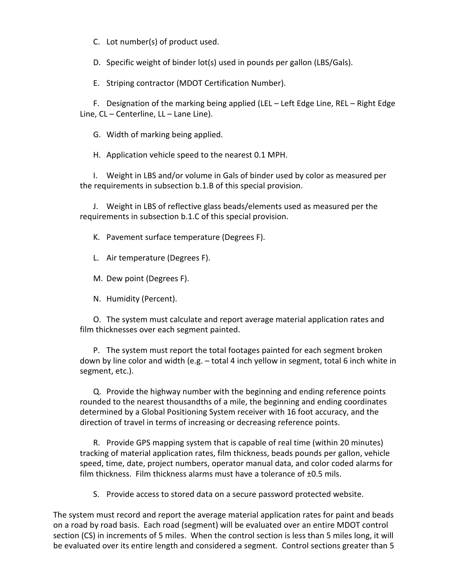C. Lot number(s) of product used.

D. Specific weight of binder lot(s) used in pounds per gallon (LBS/Gals).

E. Striping contractor (MDOT Certification Number).

F. Designation of the marking being applied (LEL – Left Edge Line, REL – Right Edge Line, CL – Centerline, LL – Lane Line).

G. Width of marking being applied.

H. Application vehicle speed to the nearest 0.1 MPH.

I. Weight in LBS and/or volume in Gals of binder used by color as measured per the requirements in subsection b.1.B of this special provision.

J. Weight in LBS of reflective glass beads/elements used as measured per the requirements in subsection b.1.C of this special provision.

K. Pavement surface temperature (Degrees F).

L. Air temperature (Degrees F).

M. Dew point (Degrees F).

N. Humidity (Percent).

O. The system must calculate and report average material application rates and film thicknesses over each segment painted.

P. The system must report the total footages painted for each segment broken down by line color and width (e.g. – total 4 inch yellow in segment, total 6 inch white in segment, etc.).

Q. Provide the highway number with the beginning and ending reference points rounded to the nearest thousandths of a mile, the beginning and ending coordinates determined by a Global Positioning System receiver with 16 foot accuracy, and the direction of travel in terms of increasing or decreasing reference points.

R. Provide GPS mapping system that is capable of real time (within 20 minutes) tracking of material application rates, film thickness, beads pounds per gallon, vehicle speed, time, date, project numbers, operator manual data, and color coded alarms for film thickness. Film thickness alarms must have a tolerance of ±0.5 mils.

S. Provide access to stored data on a secure password protected website.

The system must record and report the average material application rates for paint and beads on a road by road basis. Each road (segment) will be evaluated over an entire MDOT control section (CS) in increments of 5 miles. When the control section is less than 5 miles long, it will be evaluated over its entire length and considered a segment. Control sections greater than 5